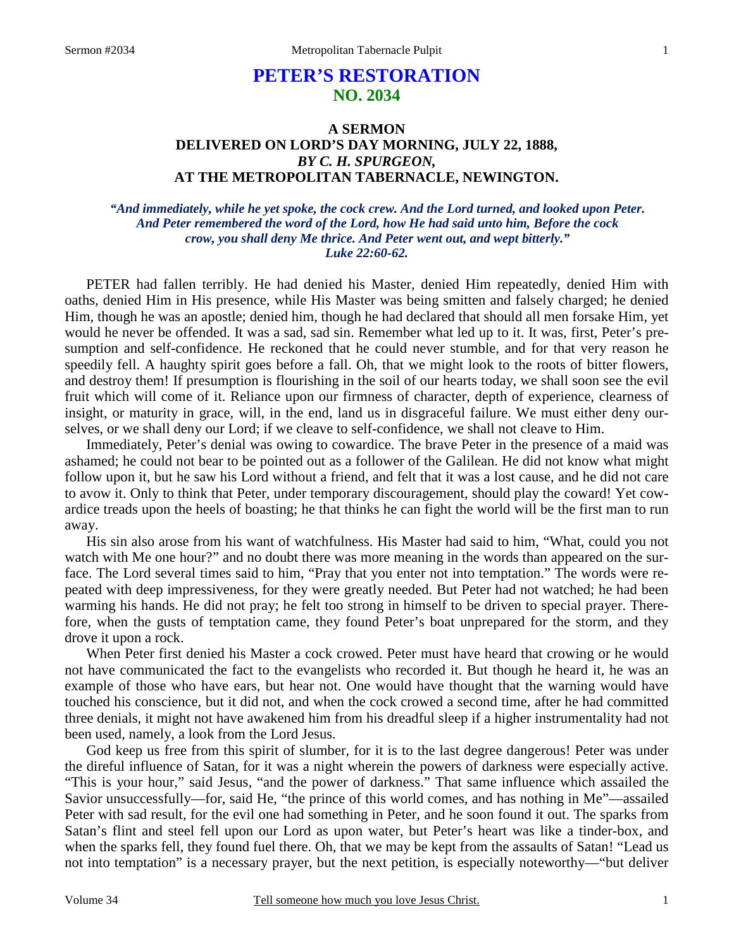# **PETER'S RESTORATION NO. 2034**

# **A SERMON DELIVERED ON LORD'S DAY MORNING, JULY 22, 1888,**  *BY C. H. SPURGEON,*  **AT THE METROPOLITAN TABERNACLE, NEWINGTON.**

### *"And immediately, while he yet spoke, the cock crew. And the Lord turned, and looked upon Peter. And Peter remembered the word of the Lord, how He had said unto him, Before the cock crow, you shall deny Me thrice. And Peter went out, and wept bitterly." Luke 22:60-62.*

PETER had fallen terribly. He had denied his Master, denied Him repeatedly, denied Him with oaths, denied Him in His presence, while His Master was being smitten and falsely charged; he denied Him, though he was an apostle; denied him, though he had declared that should all men forsake Him, yet would he never be offended. It was a sad, sad sin. Remember what led up to it. It was, first, Peter's presumption and self-confidence. He reckoned that he could never stumble, and for that very reason he speedily fell. A haughty spirit goes before a fall. Oh, that we might look to the roots of bitter flowers, and destroy them! If presumption is flourishing in the soil of our hearts today, we shall soon see the evil fruit which will come of it. Reliance upon our firmness of character, depth of experience, clearness of insight, or maturity in grace, will, in the end, land us in disgraceful failure. We must either deny ourselves, or we shall deny our Lord; if we cleave to self-confidence, we shall not cleave to Him.

Immediately, Peter's denial was owing to cowardice. The brave Peter in the presence of a maid was ashamed; he could not bear to be pointed out as a follower of the Galilean. He did not know what might follow upon it, but he saw his Lord without a friend, and felt that it was a lost cause, and he did not care to avow it. Only to think that Peter, under temporary discouragement, should play the coward! Yet cowardice treads upon the heels of boasting; he that thinks he can fight the world will be the first man to run away.

His sin also arose from his want of watchfulness. His Master had said to him, "What, could you not watch with Me one hour?" and no doubt there was more meaning in the words than appeared on the surface. The Lord several times said to him, "Pray that you enter not into temptation." The words were repeated with deep impressiveness, for they were greatly needed. But Peter had not watched; he had been warming his hands. He did not pray; he felt too strong in himself to be driven to special prayer. Therefore, when the gusts of temptation came, they found Peter's boat unprepared for the storm, and they drove it upon a rock.

When Peter first denied his Master a cock crowed. Peter must have heard that crowing or he would not have communicated the fact to the evangelists who recorded it. But though he heard it, he was an example of those who have ears, but hear not. One would have thought that the warning would have touched his conscience, but it did not, and when the cock crowed a second time, after he had committed three denials, it might not have awakened him from his dreadful sleep if a higher instrumentality had not been used, namely, a look from the Lord Jesus.

God keep us free from this spirit of slumber, for it is to the last degree dangerous! Peter was under the direful influence of Satan, for it was a night wherein the powers of darkness were especially active. "This is your hour," said Jesus, "and the power of darkness." That same influence which assailed the Savior unsuccessfully—for, said He, "the prince of this world comes, and has nothing in Me"—assailed Peter with sad result, for the evil one had something in Peter, and he soon found it out. The sparks from Satan's flint and steel fell upon our Lord as upon water, but Peter's heart was like a tinder-box, and when the sparks fell, they found fuel there. Oh, that we may be kept from the assaults of Satan! "Lead us not into temptation" is a necessary prayer, but the next petition, is especially noteworthy—"but deliver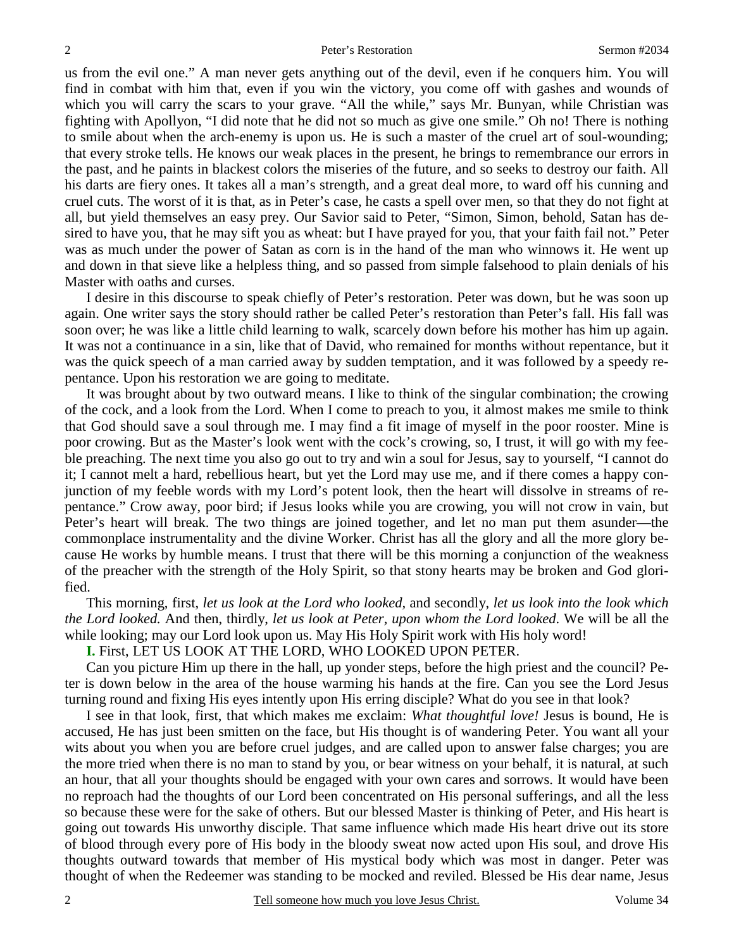us from the evil one." A man never gets anything out of the devil, even if he conquers him. You will find in combat with him that, even if you win the victory, you come off with gashes and wounds of which you will carry the scars to your grave. "All the while," says Mr. Bunyan, while Christian was fighting with Apollyon, "I did note that he did not so much as give one smile." Oh no! There is nothing to smile about when the arch-enemy is upon us. He is such a master of the cruel art of soul-wounding; that every stroke tells. He knows our weak places in the present, he brings to remembrance our errors in the past, and he paints in blackest colors the miseries of the future, and so seeks to destroy our faith. All his darts are fiery ones. It takes all a man's strength, and a great deal more, to ward off his cunning and cruel cuts. The worst of it is that, as in Peter's case, he casts a spell over men, so that they do not fight at all, but yield themselves an easy prey. Our Savior said to Peter, "Simon, Simon, behold, Satan has desired to have you, that he may sift you as wheat: but I have prayed for you, that your faith fail not." Peter was as much under the power of Satan as corn is in the hand of the man who winnows it. He went up and down in that sieve like a helpless thing, and so passed from simple falsehood to plain denials of his Master with oaths and curses.

I desire in this discourse to speak chiefly of Peter's restoration. Peter was down, but he was soon up again. One writer says the story should rather be called Peter's restoration than Peter's fall. His fall was soon over; he was like a little child learning to walk, scarcely down before his mother has him up again. It was not a continuance in a sin, like that of David, who remained for months without repentance, but it was the quick speech of a man carried away by sudden temptation, and it was followed by a speedy repentance. Upon his restoration we are going to meditate.

It was brought about by two outward means. I like to think of the singular combination; the crowing of the cock, and a look from the Lord. When I come to preach to you, it almost makes me smile to think that God should save a soul through me. I may find a fit image of myself in the poor rooster. Mine is poor crowing. But as the Master's look went with the cock's crowing, so, I trust, it will go with my feeble preaching. The next time you also go out to try and win a soul for Jesus, say to yourself, "I cannot do it; I cannot melt a hard, rebellious heart, but yet the Lord may use me, and if there comes a happy conjunction of my feeble words with my Lord's potent look, then the heart will dissolve in streams of repentance." Crow away, poor bird; if Jesus looks while you are crowing, you will not crow in vain, but Peter's heart will break. The two things are joined together, and let no man put them asunder—the commonplace instrumentality and the divine Worker. Christ has all the glory and all the more glory because He works by humble means. I trust that there will be this morning a conjunction of the weakness of the preacher with the strength of the Holy Spirit, so that stony hearts may be broken and God glorified.

This morning, first, *let us look at the Lord who looked,* and secondly, *let us look into the look which the Lord looked.* And then, thirdly, *let us look at Peter, upon whom the Lord looked*. We will be all the while looking; may our Lord look upon us. May His Holy Spirit work with His holy word!

### **I.** First, LET US LOOK AT THE LORD, WHO LOOKED UPON PETER.

Can you picture Him up there in the hall, up yonder steps, before the high priest and the council? Peter is down below in the area of the house warming his hands at the fire. Can you see the Lord Jesus turning round and fixing His eyes intently upon His erring disciple? What do you see in that look?

I see in that look, first, that which makes me exclaim: *What thoughtful love!* Jesus is bound, He is accused, He has just been smitten on the face, but His thought is of wandering Peter. You want all your wits about you when you are before cruel judges, and are called upon to answer false charges; you are the more tried when there is no man to stand by you, or bear witness on your behalf, it is natural, at such an hour, that all your thoughts should be engaged with your own cares and sorrows. It would have been no reproach had the thoughts of our Lord been concentrated on His personal sufferings, and all the less so because these were for the sake of others. But our blessed Master is thinking of Peter, and His heart is going out towards His unworthy disciple. That same influence which made His heart drive out its store of blood through every pore of His body in the bloody sweat now acted upon His soul, and drove His thoughts outward towards that member of His mystical body which was most in danger. Peter was thought of when the Redeemer was standing to be mocked and reviled. Blessed be His dear name, Jesus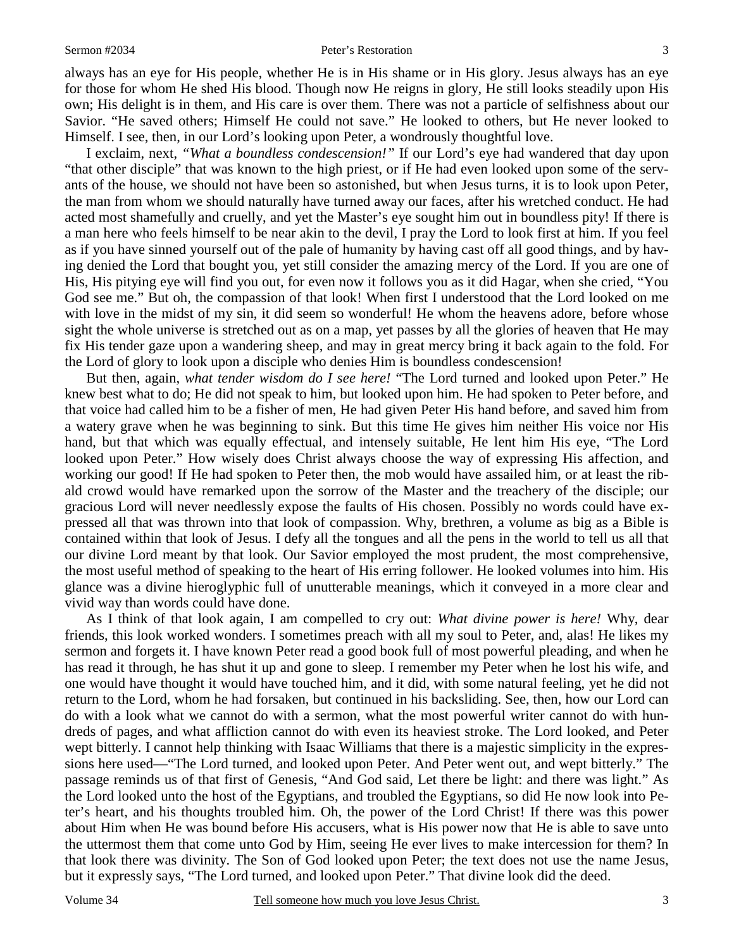#### Sermon #2034 Peter's Restoration

3

always has an eye for His people, whether He is in His shame or in His glory. Jesus always has an eye for those for whom He shed His blood. Though now He reigns in glory, He still looks steadily upon His own; His delight is in them, and His care is over them. There was not a particle of selfishness about our Savior. "He saved others; Himself He could not save." He looked to others, but He never looked to Himself. I see, then, in our Lord's looking upon Peter, a wondrously thoughtful love.

I exclaim, next, *"What a boundless condescension!"* If our Lord's eye had wandered that day upon "that other disciple" that was known to the high priest, or if He had even looked upon some of the servants of the house, we should not have been so astonished, but when Jesus turns, it is to look upon Peter, the man from whom we should naturally have turned away our faces, after his wretched conduct. He had acted most shamefully and cruelly, and yet the Master's eye sought him out in boundless pity! If there is a man here who feels himself to be near akin to the devil, I pray the Lord to look first at him. If you feel as if you have sinned yourself out of the pale of humanity by having cast off all good things, and by having denied the Lord that bought you, yet still consider the amazing mercy of the Lord. If you are one of His, His pitying eye will find you out, for even now it follows you as it did Hagar, when she cried, "You God see me." But oh, the compassion of that look! When first I understood that the Lord looked on me with love in the midst of my sin, it did seem so wonderful! He whom the heavens adore, before whose sight the whole universe is stretched out as on a map, yet passes by all the glories of heaven that He may fix His tender gaze upon a wandering sheep, and may in great mercy bring it back again to the fold. For the Lord of glory to look upon a disciple who denies Him is boundless condescension!

But then, again, *what tender wisdom do I see here!* "The Lord turned and looked upon Peter." He knew best what to do; He did not speak to him, but looked upon him. He had spoken to Peter before, and that voice had called him to be a fisher of men, He had given Peter His hand before, and saved him from a watery grave when he was beginning to sink. But this time He gives him neither His voice nor His hand, but that which was equally effectual, and intensely suitable, He lent him His eye, "The Lord looked upon Peter." How wisely does Christ always choose the way of expressing His affection, and working our good! If He had spoken to Peter then, the mob would have assailed him, or at least the ribald crowd would have remarked upon the sorrow of the Master and the treachery of the disciple; our gracious Lord will never needlessly expose the faults of His chosen. Possibly no words could have expressed all that was thrown into that look of compassion. Why, brethren, a volume as big as a Bible is contained within that look of Jesus. I defy all the tongues and all the pens in the world to tell us all that our divine Lord meant by that look. Our Savior employed the most prudent, the most comprehensive, the most useful method of speaking to the heart of His erring follower. He looked volumes into him. His glance was a divine hieroglyphic full of unutterable meanings, which it conveyed in a more clear and vivid way than words could have done.

As I think of that look again, I am compelled to cry out: *What divine power is here!* Why, dear friends, this look worked wonders. I sometimes preach with all my soul to Peter, and, alas! He likes my sermon and forgets it. I have known Peter read a good book full of most powerful pleading, and when he has read it through, he has shut it up and gone to sleep. I remember my Peter when he lost his wife, and one would have thought it would have touched him, and it did, with some natural feeling, yet he did not return to the Lord, whom he had forsaken, but continued in his backsliding. See, then, how our Lord can do with a look what we cannot do with a sermon, what the most powerful writer cannot do with hundreds of pages, and what affliction cannot do with even its heaviest stroke. The Lord looked, and Peter wept bitterly. I cannot help thinking with Isaac Williams that there is a majestic simplicity in the expressions here used—"The Lord turned, and looked upon Peter. And Peter went out, and wept bitterly." The passage reminds us of that first of Genesis, "And God said, Let there be light: and there was light." As the Lord looked unto the host of the Egyptians, and troubled the Egyptians, so did He now look into Peter's heart, and his thoughts troubled him. Oh, the power of the Lord Christ! If there was this power about Him when He was bound before His accusers, what is His power now that He is able to save unto the uttermost them that come unto God by Him, seeing He ever lives to make intercession for them? In that look there was divinity. The Son of God looked upon Peter; the text does not use the name Jesus, but it expressly says, "The Lord turned, and looked upon Peter." That divine look did the deed.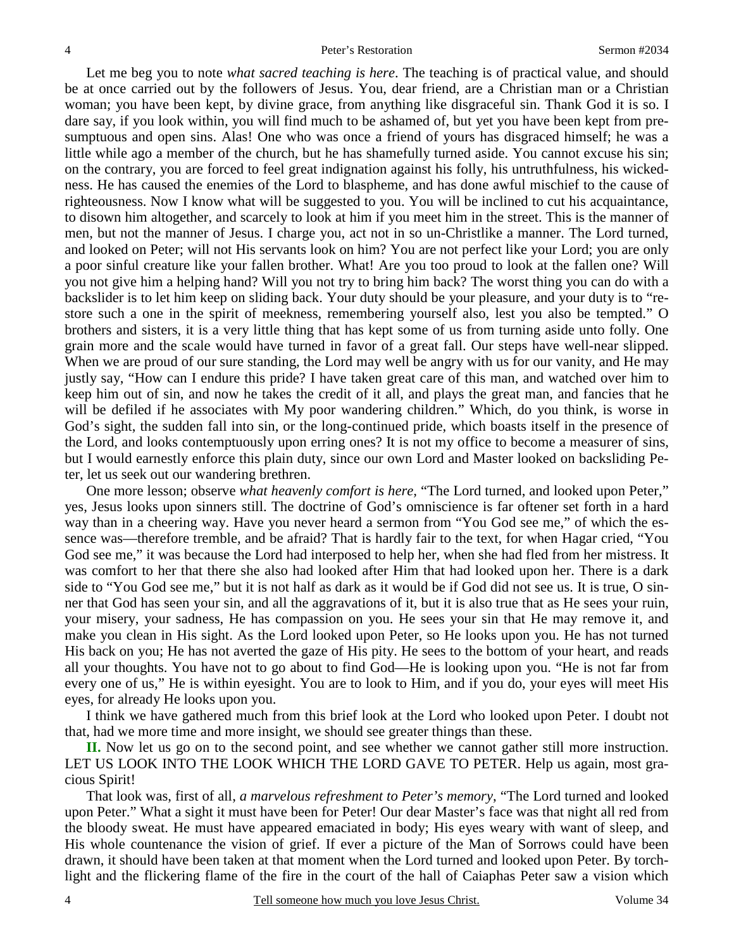Let me beg you to note *what sacred teaching is here*. The teaching is of practical value, and should be at once carried out by the followers of Jesus. You, dear friend, are a Christian man or a Christian woman; you have been kept, by divine grace, from anything like disgraceful sin. Thank God it is so. I dare say, if you look within, you will find much to be ashamed of, but yet you have been kept from presumptuous and open sins. Alas! One who was once a friend of yours has disgraced himself; he was a little while ago a member of the church, but he has shamefully turned aside. You cannot excuse his sin; on the contrary, you are forced to feel great indignation against his folly, his untruthfulness, his wickedness. He has caused the enemies of the Lord to blaspheme, and has done awful mischief to the cause of righteousness. Now I know what will be suggested to you. You will be inclined to cut his acquaintance, to disown him altogether, and scarcely to look at him if you meet him in the street. This is the manner of men, but not the manner of Jesus. I charge you, act not in so un-Christlike a manner. The Lord turned, and looked on Peter; will not His servants look on him? You are not perfect like your Lord; you are only a poor sinful creature like your fallen brother. What! Are you too proud to look at the fallen one? Will you not give him a helping hand? Will you not try to bring him back? The worst thing you can do with a backslider is to let him keep on sliding back. Your duty should be your pleasure, and your duty is to "restore such a one in the spirit of meekness, remembering yourself also, lest you also be tempted." O brothers and sisters, it is a very little thing that has kept some of us from turning aside unto folly. One grain more and the scale would have turned in favor of a great fall. Our steps have well-near slipped. When we are proud of our sure standing, the Lord may well be angry with us for our vanity, and He may justly say, "How can I endure this pride? I have taken great care of this man, and watched over him to keep him out of sin, and now he takes the credit of it all, and plays the great man, and fancies that he will be defiled if he associates with My poor wandering children." Which, do you think, is worse in God's sight, the sudden fall into sin, or the long-continued pride, which boasts itself in the presence of the Lord, and looks contemptuously upon erring ones? It is not my office to become a measurer of sins, but I would earnestly enforce this plain duty, since our own Lord and Master looked on backsliding Peter, let us seek out our wandering brethren.

One more lesson; observe *what heavenly comfort is here,* "The Lord turned, and looked upon Peter," yes, Jesus looks upon sinners still. The doctrine of God's omniscience is far oftener set forth in a hard way than in a cheering way. Have you never heard a sermon from "You God see me," of which the essence was—therefore tremble, and be afraid? That is hardly fair to the text, for when Hagar cried, "You God see me," it was because the Lord had interposed to help her, when she had fled from her mistress. It was comfort to her that there she also had looked after Him that had looked upon her. There is a dark side to "You God see me," but it is not half as dark as it would be if God did not see us. It is true, O sinner that God has seen your sin, and all the aggravations of it, but it is also true that as He sees your ruin, your misery, your sadness, He has compassion on you. He sees your sin that He may remove it, and make you clean in His sight. As the Lord looked upon Peter, so He looks upon you. He has not turned His back on you; He has not averted the gaze of His pity. He sees to the bottom of your heart, and reads all your thoughts. You have not to go about to find God—He is looking upon you. "He is not far from every one of us," He is within eyesight. You are to look to Him, and if you do, your eyes will meet His eyes, for already He looks upon you.

I think we have gathered much from this brief look at the Lord who looked upon Peter. I doubt not that, had we more time and more insight, we should see greater things than these.

**II.** Now let us go on to the second point, and see whether we cannot gather still more instruction. LET US LOOK INTO THE LOOK WHICH THE LORD GAVE TO PETER. Help us again, most gracious Spirit!

That look was, first of all, *a marvelous refreshment to Peter's memory*, "The Lord turned and looked upon Peter." What a sight it must have been for Peter! Our dear Master's face was that night all red from the bloody sweat. He must have appeared emaciated in body; His eyes weary with want of sleep, and His whole countenance the vision of grief. If ever a picture of the Man of Sorrows could have been drawn, it should have been taken at that moment when the Lord turned and looked upon Peter. By torchlight and the flickering flame of the fire in the court of the hall of Caiaphas Peter saw a vision which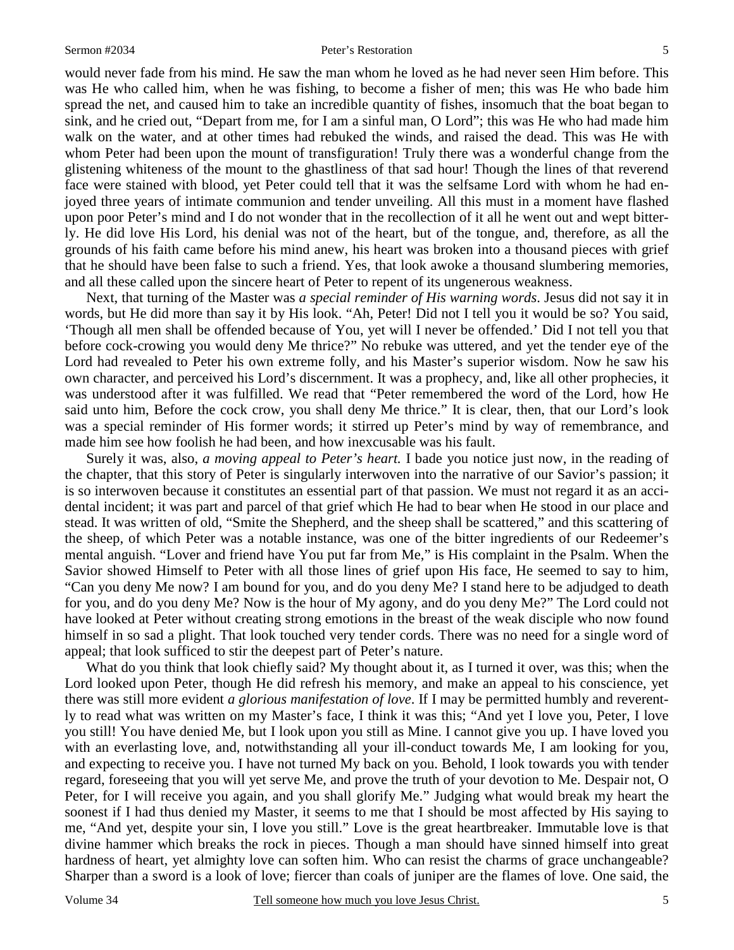would never fade from his mind. He saw the man whom he loved as he had never seen Him before. This was He who called him, when he was fishing, to become a fisher of men; this was He who bade him spread the net, and caused him to take an incredible quantity of fishes, insomuch that the boat began to sink, and he cried out, "Depart from me, for I am a sinful man, O Lord"; this was He who had made him walk on the water, and at other times had rebuked the winds, and raised the dead. This was He with whom Peter had been upon the mount of transfiguration! Truly there was a wonderful change from the glistening whiteness of the mount to the ghastliness of that sad hour! Though the lines of that reverend face were stained with blood, yet Peter could tell that it was the selfsame Lord with whom he had enjoyed three years of intimate communion and tender unveiling. All this must in a moment have flashed upon poor Peter's mind and I do not wonder that in the recollection of it all he went out and wept bitterly. He did love His Lord, his denial was not of the heart, but of the tongue, and, therefore, as all the grounds of his faith came before his mind anew, his heart was broken into a thousand pieces with grief that he should have been false to such a friend. Yes, that look awoke a thousand slumbering memories, and all these called upon the sincere heart of Peter to repent of its ungenerous weakness.

Next, that turning of the Master was *a special reminder of His warning words*. Jesus did not say it in words, but He did more than say it by His look. "Ah, Peter! Did not I tell you it would be so? You said, 'Though all men shall be offended because of You, yet will I never be offended.' Did I not tell you that before cock-crowing you would deny Me thrice?" No rebuke was uttered, and yet the tender eye of the Lord had revealed to Peter his own extreme folly, and his Master's superior wisdom. Now he saw his own character, and perceived his Lord's discernment. It was a prophecy, and, like all other prophecies, it was understood after it was fulfilled. We read that "Peter remembered the word of the Lord, how He said unto him, Before the cock crow, you shall deny Me thrice." It is clear, then, that our Lord's look was a special reminder of His former words; it stirred up Peter's mind by way of remembrance, and made him see how foolish he had been, and how inexcusable was his fault.

Surely it was, also, *a moving appeal to Peter's heart.* I bade you notice just now, in the reading of the chapter, that this story of Peter is singularly interwoven into the narrative of our Savior's passion; it is so interwoven because it constitutes an essential part of that passion. We must not regard it as an accidental incident; it was part and parcel of that grief which He had to bear when He stood in our place and stead. It was written of old, "Smite the Shepherd, and the sheep shall be scattered," and this scattering of the sheep, of which Peter was a notable instance, was one of the bitter ingredients of our Redeemer's mental anguish. "Lover and friend have You put far from Me," is His complaint in the Psalm. When the Savior showed Himself to Peter with all those lines of grief upon His face, He seemed to say to him, "Can you deny Me now? I am bound for you, and do you deny Me? I stand here to be adjudged to death for you, and do you deny Me? Now is the hour of My agony, and do you deny Me?" The Lord could not have looked at Peter without creating strong emotions in the breast of the weak disciple who now found himself in so sad a plight. That look touched very tender cords. There was no need for a single word of appeal; that look sufficed to stir the deepest part of Peter's nature.

What do you think that look chiefly said? My thought about it, as I turned it over, was this; when the Lord looked upon Peter, though He did refresh his memory, and make an appeal to his conscience, yet there was still more evident *a glorious manifestation of love*. If I may be permitted humbly and reverently to read what was written on my Master's face, I think it was this; "And yet I love you, Peter, I love you still! You have denied Me, but I look upon you still as Mine. I cannot give you up. I have loved you with an everlasting love, and, notwithstanding all your ill-conduct towards Me, I am looking for you, and expecting to receive you. I have not turned My back on you. Behold, I look towards you with tender regard, foreseeing that you will yet serve Me, and prove the truth of your devotion to Me. Despair not, O Peter, for I will receive you again, and you shall glorify Me." Judging what would break my heart the soonest if I had thus denied my Master, it seems to me that I should be most affected by His saying to me, "And yet, despite your sin, I love you still." Love is the great heartbreaker. Immutable love is that divine hammer which breaks the rock in pieces. Though a man should have sinned himself into great hardness of heart, yet almighty love can soften him. Who can resist the charms of grace unchangeable? Sharper than a sword is a look of love; fiercer than coals of juniper are the flames of love. One said, the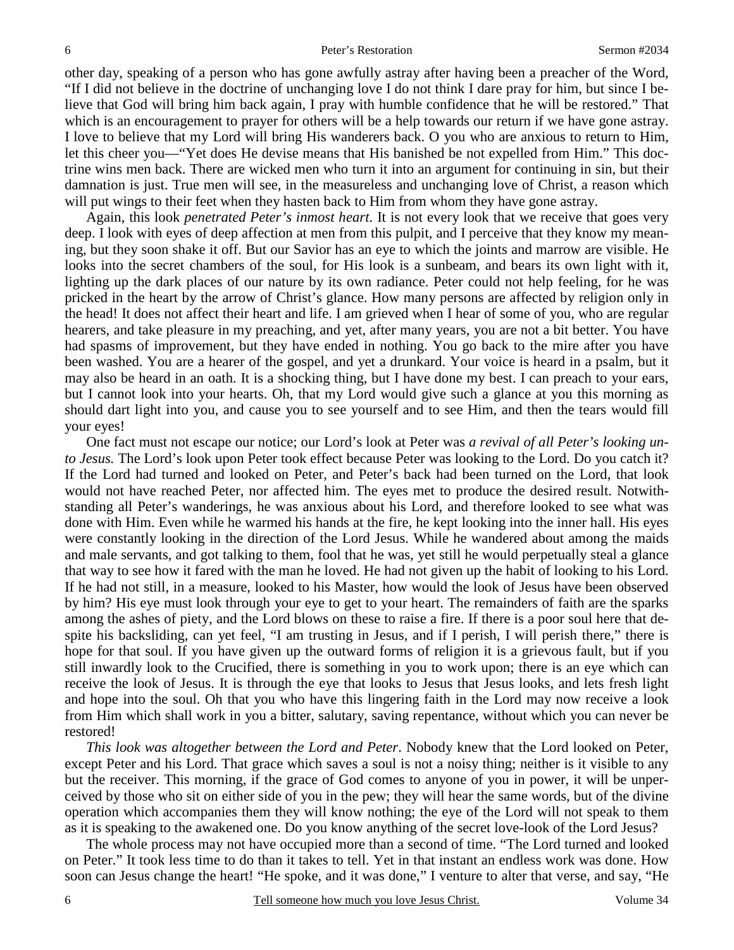other day, speaking of a person who has gone awfully astray after having been a preacher of the Word, "If I did not believe in the doctrine of unchanging love I do not think I dare pray for him, but since I believe that God will bring him back again, I pray with humble confidence that he will be restored." That which is an encouragement to prayer for others will be a help towards our return if we have gone astray. I love to believe that my Lord will bring His wanderers back. O you who are anxious to return to Him, let this cheer you—"Yet does He devise means that His banished be not expelled from Him." This doctrine wins men back. There are wicked men who turn it into an argument for continuing in sin, but their damnation is just. True men will see, in the measureless and unchanging love of Christ, a reason which will put wings to their feet when they hasten back to Him from whom they have gone astray.

Again, this look *penetrated Peter's inmost heart*. It is not every look that we receive that goes very deep. I look with eyes of deep affection at men from this pulpit, and I perceive that they know my meaning, but they soon shake it off. But our Savior has an eye to which the joints and marrow are visible. He looks into the secret chambers of the soul, for His look is a sunbeam, and bears its own light with it, lighting up the dark places of our nature by its own radiance. Peter could not help feeling, for he was pricked in the heart by the arrow of Christ's glance. How many persons are affected by religion only in the head! It does not affect their heart and life. I am grieved when I hear of some of you, who are regular hearers, and take pleasure in my preaching, and yet, after many years, you are not a bit better. You have had spasms of improvement, but they have ended in nothing. You go back to the mire after you have been washed. You are a hearer of the gospel, and yet a drunkard. Your voice is heard in a psalm, but it may also be heard in an oath. It is a shocking thing, but I have done my best. I can preach to your ears, but I cannot look into your hearts. Oh, that my Lord would give such a glance at you this morning as should dart light into you, and cause you to see yourself and to see Him, and then the tears would fill your eyes!

One fact must not escape our notice; our Lord's look at Peter was *a revival of all Peter's looking unto Jesus.* The Lord's look upon Peter took effect because Peter was looking to the Lord. Do you catch it? If the Lord had turned and looked on Peter, and Peter's back had been turned on the Lord, that look would not have reached Peter, nor affected him. The eyes met to produce the desired result. Notwithstanding all Peter's wanderings, he was anxious about his Lord, and therefore looked to see what was done with Him. Even while he warmed his hands at the fire, he kept looking into the inner hall. His eyes were constantly looking in the direction of the Lord Jesus. While he wandered about among the maids and male servants, and got talking to them, fool that he was, yet still he would perpetually steal a glance that way to see how it fared with the man he loved. He had not given up the habit of looking to his Lord. If he had not still, in a measure, looked to his Master, how would the look of Jesus have been observed by him? His eye must look through your eye to get to your heart. The remainders of faith are the sparks among the ashes of piety, and the Lord blows on these to raise a fire. If there is a poor soul here that despite his backsliding, can yet feel, "I am trusting in Jesus, and if I perish, I will perish there," there is hope for that soul. If you have given up the outward forms of religion it is a grievous fault, but if you still inwardly look to the Crucified, there is something in you to work upon; there is an eye which can receive the look of Jesus. It is through the eye that looks to Jesus that Jesus looks, and lets fresh light and hope into the soul. Oh that you who have this lingering faith in the Lord may now receive a look from Him which shall work in you a bitter, salutary, saving repentance, without which you can never be restored!

*This look was altogether between the Lord and Peter*. Nobody knew that the Lord looked on Peter, except Peter and his Lord. That grace which saves a soul is not a noisy thing; neither is it visible to any but the receiver. This morning, if the grace of God comes to anyone of you in power, it will be unperceived by those who sit on either side of you in the pew; they will hear the same words, but of the divine operation which accompanies them they will know nothing; the eye of the Lord will not speak to them as it is speaking to the awakened one. Do you know anything of the secret love-look of the Lord Jesus?

The whole process may not have occupied more than a second of time. "The Lord turned and looked on Peter." It took less time to do than it takes to tell. Yet in that instant an endless work was done. How soon can Jesus change the heart! "He spoke, and it was done," I venture to alter that verse, and say, "He

6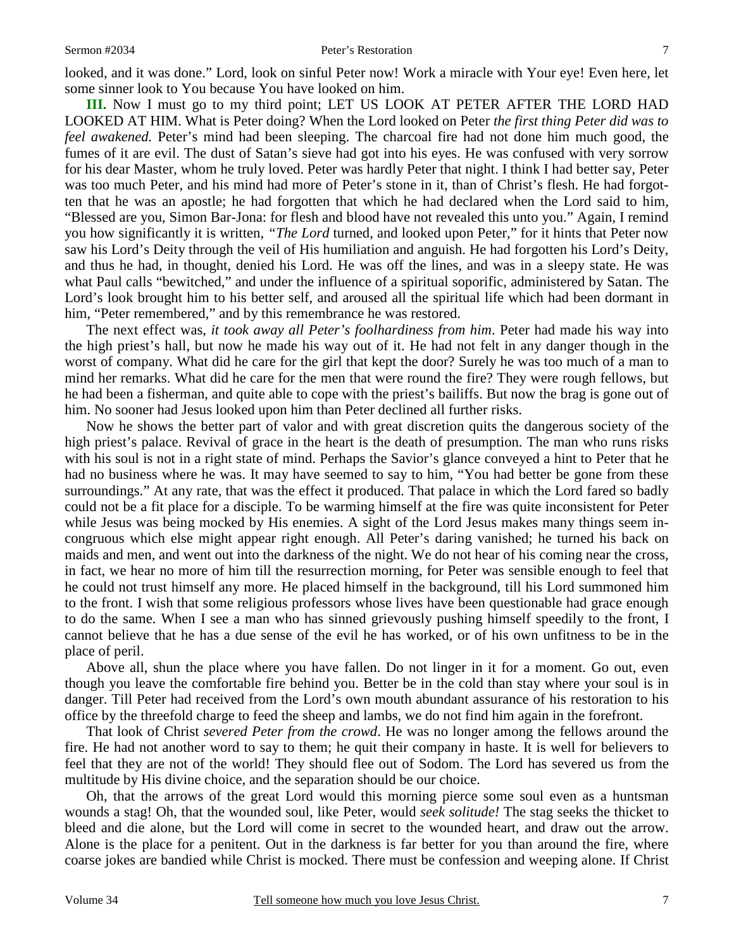#### Sermon #2034 Peter's Restoration

looked, and it was done." Lord, look on sinful Peter now! Work a miracle with Your eye! Even here, let some sinner look to You because You have looked on him.

**III.** Now I must go to my third point; LET US LOOK AT PETER AFTER THE LORD HAD LOOKED AT HIM. What is Peter doing? When the Lord looked on Peter *the first thing Peter did was to feel awakened.* Peter's mind had been sleeping. The charcoal fire had not done him much good, the fumes of it are evil. The dust of Satan's sieve had got into his eyes. He was confused with very sorrow for his dear Master, whom he truly loved. Peter was hardly Peter that night. I think I had better say, Peter was too much Peter, and his mind had more of Peter's stone in it, than of Christ's flesh. He had forgotten that he was an apostle; he had forgotten that which he had declared when the Lord said to him, "Blessed are you, Simon Bar-Jona: for flesh and blood have not revealed this unto you." Again, I remind you how significantly it is written, *"The Lord* turned, and looked upon Peter," for it hints that Peter now saw his Lord's Deity through the veil of His humiliation and anguish. He had forgotten his Lord's Deity, and thus he had, in thought, denied his Lord. He was off the lines, and was in a sleepy state. He was what Paul calls "bewitched," and under the influence of a spiritual soporific, administered by Satan. The Lord's look brought him to his better self, and aroused all the spiritual life which had been dormant in him, "Peter remembered," and by this remembrance he was restored.

The next effect was, *it took away all Peter's foolhardiness from him*. Peter had made his way into the high priest's hall, but now he made his way out of it. He had not felt in any danger though in the worst of company. What did he care for the girl that kept the door? Surely he was too much of a man to mind her remarks. What did he care for the men that were round the fire? They were rough fellows, but he had been a fisherman, and quite able to cope with the priest's bailiffs. But now the brag is gone out of him. No sooner had Jesus looked upon him than Peter declined all further risks.

Now he shows the better part of valor and with great discretion quits the dangerous society of the high priest's palace. Revival of grace in the heart is the death of presumption. The man who runs risks with his soul is not in a right state of mind. Perhaps the Savior's glance conveyed a hint to Peter that he had no business where he was. It may have seemed to say to him, "You had better be gone from these surroundings." At any rate, that was the effect it produced. That palace in which the Lord fared so badly could not be a fit place for a disciple. To be warming himself at the fire was quite inconsistent for Peter while Jesus was being mocked by His enemies. A sight of the Lord Jesus makes many things seem incongruous which else might appear right enough. All Peter's daring vanished; he turned his back on maids and men, and went out into the darkness of the night. We do not hear of his coming near the cross, in fact, we hear no more of him till the resurrection morning, for Peter was sensible enough to feel that he could not trust himself any more. He placed himself in the background, till his Lord summoned him to the front. I wish that some religious professors whose lives have been questionable had grace enough to do the same. When I see a man who has sinned grievously pushing himself speedily to the front, I cannot believe that he has a due sense of the evil he has worked, or of his own unfitness to be in the place of peril.

Above all, shun the place where you have fallen. Do not linger in it for a moment. Go out, even though you leave the comfortable fire behind you. Better be in the cold than stay where your soul is in danger. Till Peter had received from the Lord's own mouth abundant assurance of his restoration to his office by the threefold charge to feed the sheep and lambs, we do not find him again in the forefront.

That look of Christ *severed Peter from the crowd*. He was no longer among the fellows around the fire. He had not another word to say to them; he quit their company in haste. It is well for believers to feel that they are not of the world! They should flee out of Sodom. The Lord has severed us from the multitude by His divine choice, and the separation should be our choice.

Oh, that the arrows of the great Lord would this morning pierce some soul even as a huntsman wounds a stag! Oh, that the wounded soul, like Peter, would *seek solitude!* The stag seeks the thicket to bleed and die alone, but the Lord will come in secret to the wounded heart, and draw out the arrow. Alone is the place for a penitent. Out in the darkness is far better for you than around the fire, where coarse jokes are bandied while Christ is mocked. There must be confession and weeping alone. If Christ